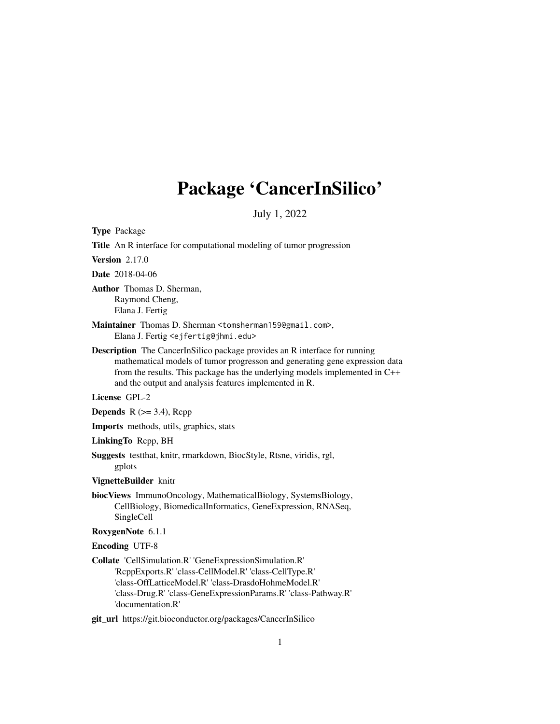# Package 'CancerInSilico'

July 1, 2022

Type Package Title An R interface for computational modeling of tumor progression Version 2.17.0 Date 2018-04-06 Author Thomas D. Sherman, Raymond Cheng, Elana J. Fertig Maintainer Thomas D. Sherman <tomsherman159@gmail.com>, Elana J. Fertig <ejfertig@jhmi.edu> Description The CancerInSilico package provides an R interface for running mathematical models of tumor progresson and generating gene expression data from the results. This package has the underlying models implemented in C++ and the output and analysis features implemented in R. License GPL-2 **Depends**  $R$  ( $>=$  3.4), Rcpp Imports methods, utils, graphics, stats LinkingTo Rcpp, BH Suggests testthat, knitr, rmarkdown, BiocStyle, Rtsne, viridis, rgl, gplots VignetteBuilder knitr biocViews ImmunoOncology, MathematicalBiology, SystemsBiology, CellBiology, BiomedicalInformatics, GeneExpression, RNASeq, SingleCell RoxygenNote 6.1.1 Encoding UTF-8 Collate 'CellSimulation.R' 'GeneExpressionSimulation.R' 'RcppExports.R' 'class-CellModel.R' 'class-CellType.R' 'class-OffLatticeModel.R' 'class-DrasdoHohmeModel.R' 'class-Drug.R' 'class-GeneExpressionParams.R' 'class-Pathway.R' 'documentation.R' git\_url https://git.bioconductor.org/packages/CancerInSilico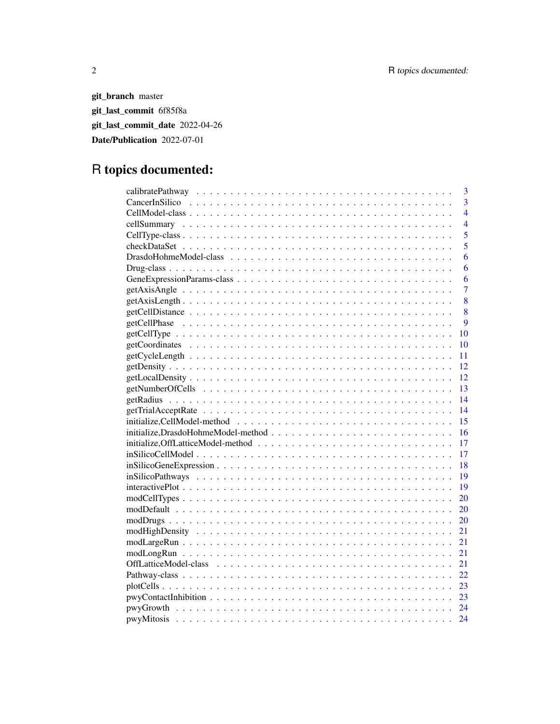git\_branch master git\_last\_commit 6f85f8a git\_last\_commit\_date 2022-04-26 Date/Publication 2022-07-01

# R topics documented:

| 3              |
|----------------|
| $\overline{3}$ |
| $\overline{4}$ |
| $\overline{4}$ |
| $\overline{5}$ |
| $\overline{5}$ |
| 6              |
| 6              |
| 6              |
| $\overline{7}$ |
| 8              |
| 8              |
| 9              |
| 10             |
| 10             |
| 11             |
| 12             |
| 12             |
| 13             |
| 14             |
| 14             |
| 15             |
| 16             |
| 17             |
| 17             |
| 18             |
| 19             |
| 19             |
| 20             |
| 20             |
| 20             |
| 21             |
| 21             |
| 21             |
| 21             |
| 22             |
| 23             |
| 23             |
|                |
| 24             |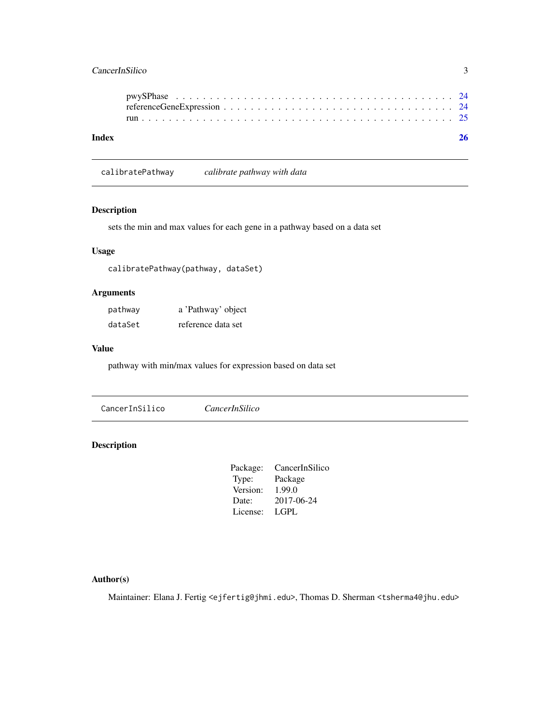### <span id="page-2-0"></span>CancerInSilico 3

| Index |  |  |  |  |  |  |  |  |  |  |  |  |  |  |  |  |
|-------|--|--|--|--|--|--|--|--|--|--|--|--|--|--|--|--|
|       |  |  |  |  |  |  |  |  |  |  |  |  |  |  |  |  |

calibratePathway *calibrate pathway with data*

### Description

sets the min and max values for each gene in a pathway based on a data set

### Usage

calibratePathway(pathway, dataSet)

### Arguments

| pathway | a 'Pathway' object |
|---------|--------------------|
| dataSet | reference data set |

### Value

pathway with min/max values for expression based on data set

CancerInSilico *CancerInSilico*

### Description

| CancerInSilico |
|----------------|
| Package        |
| 1.99.0         |
| 2017-06-24     |
| <b>LGPL</b>    |
|                |

### Author(s)

Maintainer: Elana J. Fertig <ejfertig@jhmi.edu>, Thomas D. Sherman <tsherma4@jhu.edu>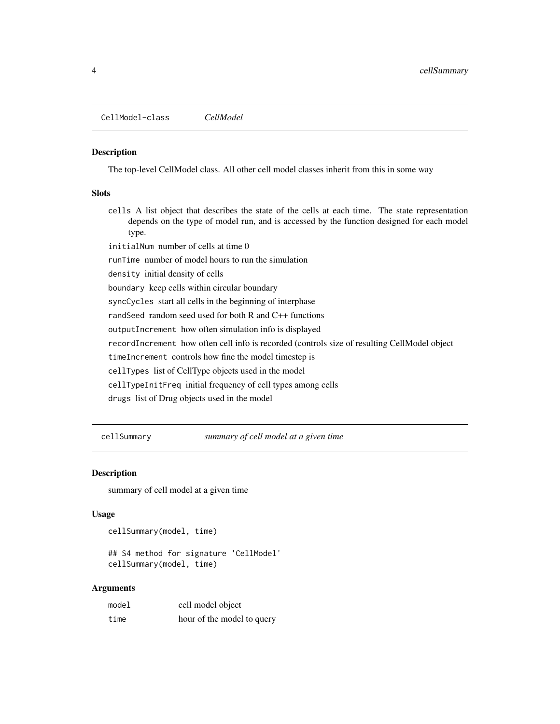<span id="page-3-0"></span>The top-level CellModel class. All other cell model classes inherit from this in some way

#### **Slots**

- cells A list object that describes the state of the cells at each time. The state representation depends on the type of model run, and is accessed by the function designed for each model type.
- initialNum number of cells at time 0

runTime number of model hours to run the simulation

density initial density of cells

boundary keep cells within circular boundary

syncCycles start all cells in the beginning of interphase

randSeed random seed used for both R and C++ functions

outputIncrement how often simulation info is displayed

recordIncrement how often cell info is recorded (controls size of resulting CellModel object

timeIncrement controls how fine the model timestep is

cellTypes list of CellType objects used in the model

cellTypeInitFreq initial frequency of cell types among cells

drugs list of Drug objects used in the model

cellSummary *summary of cell model at a given time*

### Description

summary of cell model at a given time

#### Usage

cellSummary(model, time)

## S4 method for signature 'CellModel' cellSummary(model, time)

#### Arguments

| model | cell model object          |
|-------|----------------------------|
| time  | hour of the model to query |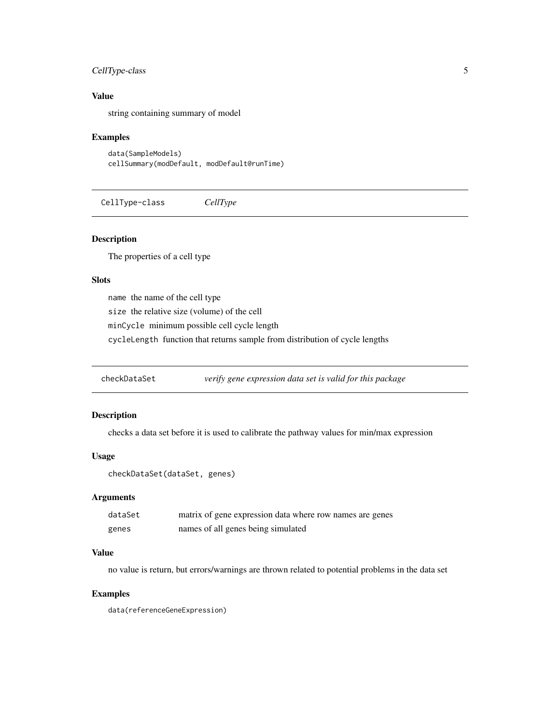### <span id="page-4-0"></span>CellType-class 5

### Value

string containing summary of model

#### Examples

data(SampleModels) cellSummary(modDefault, modDefault@runTime)

CellType-class *CellType*

### Description

The properties of a cell type

#### Slots

name the name of the cell type

size the relative size (volume) of the cell

minCycle minimum possible cell cycle length

cycleLength function that returns sample from distribution of cycle lengths

checkDataSet *verify gene expression data set is valid for this package*

#### Description

checks a data set before it is used to calibrate the pathway values for min/max expression

#### Usage

```
checkDataSet(dataSet, genes)
```
### Arguments

| dataSet | matrix of gene expression data where row names are genes |
|---------|----------------------------------------------------------|
| genes   | names of all genes being simulated                       |

#### Value

no value is return, but errors/warnings are thrown related to potential problems in the data set

### Examples

data(referenceGeneExpression)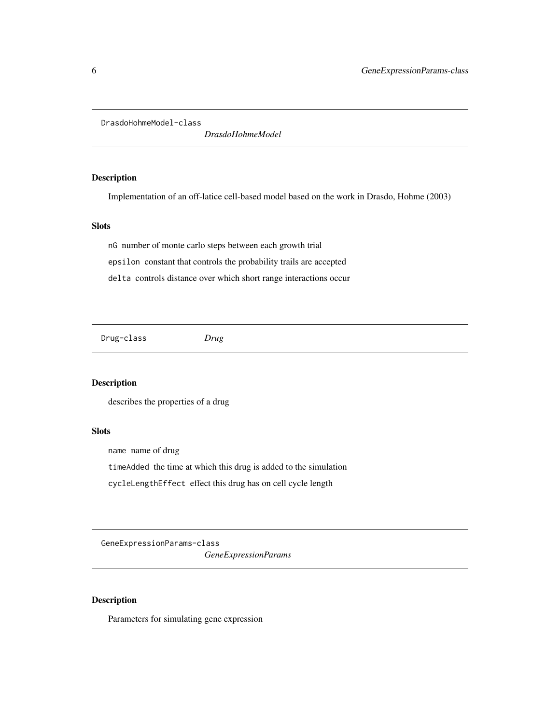<span id="page-5-0"></span>DrasdoHohmeModel-class

*DrasdoHohmeModel*

### Description

Implementation of an off-latice cell-based model based on the work in Drasdo, Hohme (2003)

### Slots

nG number of monte carlo steps between each growth trial epsilon constant that controls the probability trails are accepted delta controls distance over which short range interactions occur

Drug-class *Drug*

### Description

describes the properties of a drug

#### Slots

name name of drug

timeAdded the time at which this drug is added to the simulation

cycleLengthEffect effect this drug has on cell cycle length

GeneExpressionParams-class

*GeneExpressionParams*

#### Description

Parameters for simulating gene expression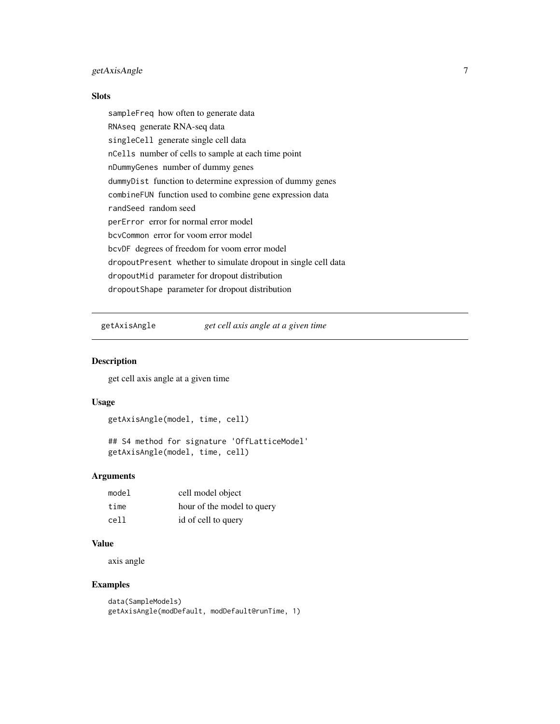### <span id="page-6-0"></span>getAxisAngle 7

#### Slots

sampleFreq how often to generate data RNAseq generate RNA-seq data singleCell generate single cell data nCells number of cells to sample at each time point nDummyGenes number of dummy genes dummyDist function to determine expression of dummy genes combineFUN function used to combine gene expression data randSeed random seed perError error for normal error model bcvCommon error for voom error model bcvDF degrees of freedom for voom error model dropoutPresent whether to simulate dropout in single cell data dropoutMid parameter for dropout distribution dropoutShape parameter for dropout distribution

getAxisAngle *get cell axis angle at a given time*

### Description

get cell axis angle at a given time

#### Usage

```
getAxisAngle(model, time, cell)
```
## S4 method for signature 'OffLatticeModel' getAxisAngle(model, time, cell)

#### **Arguments**

| model | cell model object          |
|-------|----------------------------|
| time  | hour of the model to query |
| cell  | id of cell to query        |

### Value

axis angle

### Examples

```
data(SampleModels)
getAxisAngle(modDefault, modDefault@runTime, 1)
```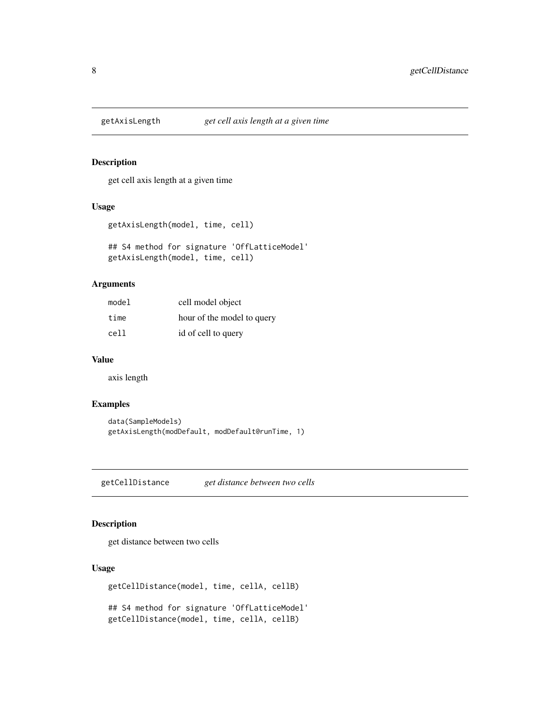<span id="page-7-0"></span>

get cell axis length at a given time

#### Usage

```
getAxisLength(model, time, cell)
```
## S4 method for signature 'OffLatticeModel' getAxisLength(model, time, cell)

#### Arguments

| model | cell model object          |
|-------|----------------------------|
| time  | hour of the model to query |
| cell  | id of cell to query        |

#### Value

axis length

#### Examples

```
data(SampleModels)
getAxisLength(modDefault, modDefault@runTime, 1)
```
getCellDistance *get distance between two cells*

### Description

get distance between two cells

### Usage

```
getCellDistance(model, time, cellA, cellB)
## S4 method for signature 'OffLatticeModel'
```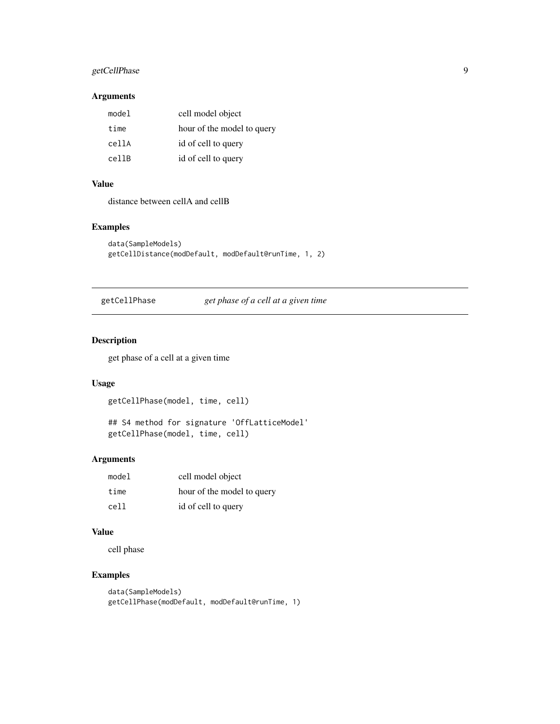### <span id="page-8-0"></span>getCellPhase 9

### Arguments

| model | cell model object          |
|-------|----------------------------|
| time  | hour of the model to query |
| cellA | id of cell to query        |
| cellB | id of cell to query        |

### Value

distance between cellA and cellB

#### Examples

```
data(SampleModels)
getCellDistance(modDefault, modDefault@runTime, 1, 2)
```
getCellPhase *get phase of a cell at a given time*

### Description

get phase of a cell at a given time

### Usage

getCellPhase(model, time, cell)

## S4 method for signature 'OffLatticeModel' getCellPhase(model, time, cell)

#### Arguments

| model | cell model object          |
|-------|----------------------------|
| time  | hour of the model to query |
| cell  | id of cell to query        |

### Value

cell phase

### Examples

```
data(SampleModels)
getCellPhase(modDefault, modDefault@runTime, 1)
```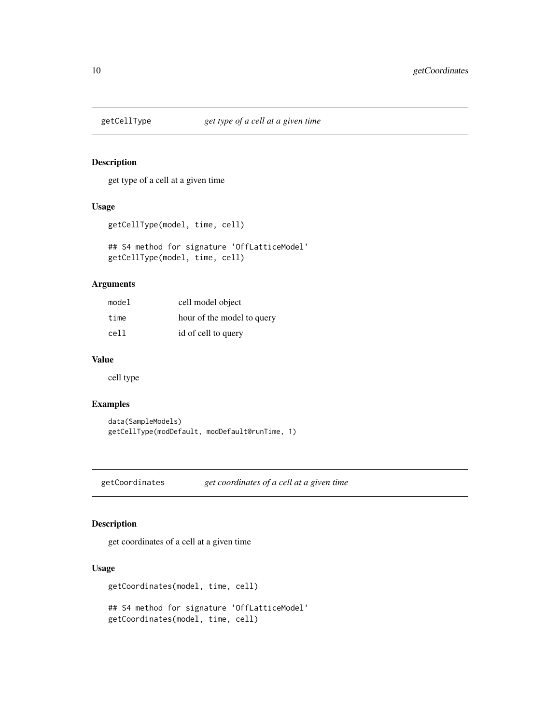<span id="page-9-0"></span>

get type of a cell at a given time

### Usage

getCellType(model, time, cell)

## S4 method for signature 'OffLatticeModel' getCellType(model, time, cell)

#### Arguments

| model | cell model object          |
|-------|----------------------------|
| time  | hour of the model to query |
| cell  | id of cell to query        |

#### Value

cell type

### Examples

```
data(SampleModels)
getCellType(modDefault, modDefault@runTime, 1)
```
getCoordinates *get coordinates of a cell at a given time*

### Description

get coordinates of a cell at a given time

### Usage

```
getCoordinates(model, time, cell)
```
## S4 method for signature 'OffLatticeModel' getCoordinates(model, time, cell)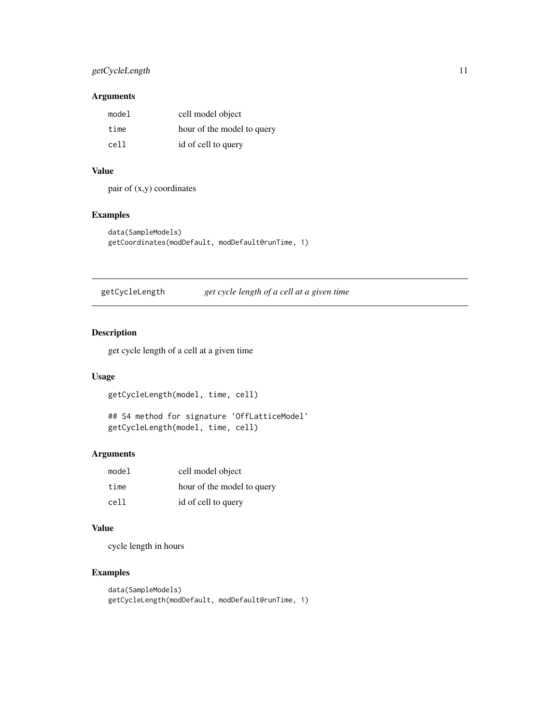### <span id="page-10-0"></span>getCycleLength 11

### Arguments

| model | cell model object          |
|-------|----------------------------|
| time  | hour of the model to query |
| cell  | id of cell to query        |

### Value

pair of (x,y) coordinates

### Examples

```
data(SampleModels)
getCoordinates(modDefault, modDefault@runTime, 1)
```
getCycleLength *get cycle length of a cell at a given time*

### Description

get cycle length of a cell at a given time

### Usage

```
getCycleLength(model, time, cell)
```

```
## S4 method for signature 'OffLatticeModel'
getCycleLength(model, time, cell)
```
#### Arguments

| model | cell model object          |
|-------|----------------------------|
| time  | hour of the model to query |
| cell  | id of cell to query        |

### Value

cycle length in hours

### Examples

```
data(SampleModels)
getCycleLength(modDefault, modDefault@runTime, 1)
```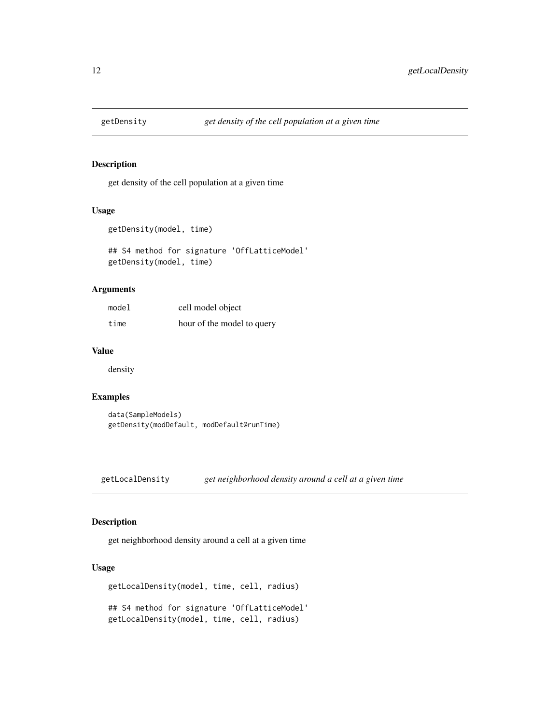<span id="page-11-0"></span>

get density of the cell population at a given time

#### Usage

```
getDensity(model, time)
```
## S4 method for signature 'OffLatticeModel' getDensity(model, time)

#### Arguments

| model | cell model object          |
|-------|----------------------------|
| time  | hour of the model to query |

#### Value

density

### Examples

data(SampleModels) getDensity(modDefault, modDefault@runTime)

getLocalDensity *get neighborhood density around a cell at a given time*

### Description

get neighborhood density around a cell at a given time

#### Usage

```
getLocalDensity(model, time, cell, radius)
## S4 method for signature 'OffLatticeModel'
getLocalDensity(model, time, cell, radius)
```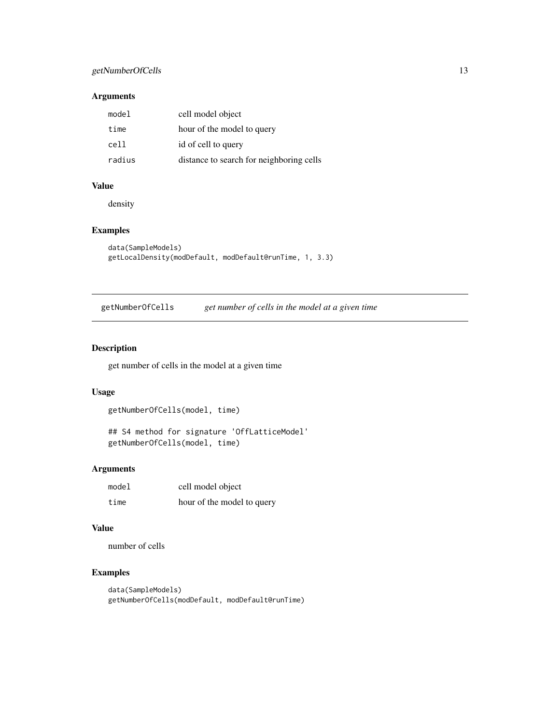### <span id="page-12-0"></span>getNumberOfCells 13

#### Arguments

| model  | cell model object                        |
|--------|------------------------------------------|
| time   | hour of the model to query               |
| cell   | id of cell to query                      |
| radius | distance to search for neighboring cells |

#### Value

density

### Examples

```
data(SampleModels)
getLocalDensity(modDefault, modDefault@runTime, 1, 3.3)
```
getNumberOfCells *get number of cells in the model at a given time*

#### Description

get number of cells in the model at a given time

### Usage

```
getNumberOfCells(model, time)
```

```
## S4 method for signature 'OffLatticeModel'
getNumberOfCells(model, time)
```
### Arguments

| model | cell model object          |
|-------|----------------------------|
| time  | hour of the model to query |

#### Value

number of cells

### Examples

```
data(SampleModels)
getNumberOfCells(modDefault, modDefault@runTime)
```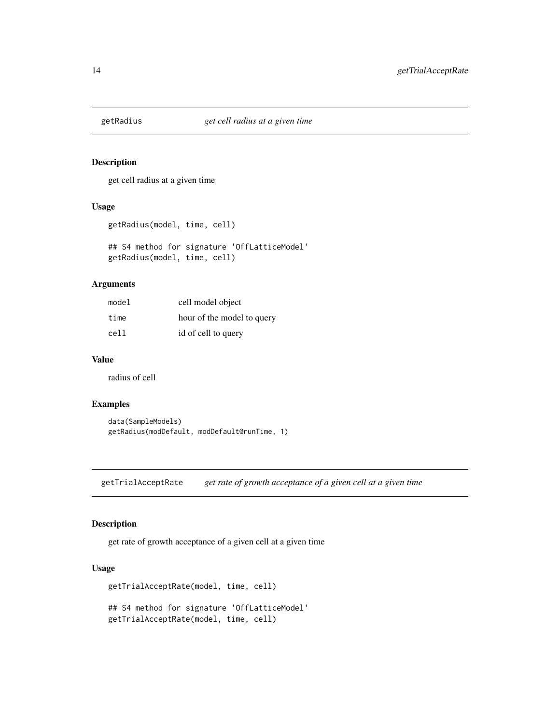<span id="page-13-0"></span>

get cell radius at a given time

### Usage

```
getRadius(model, time, cell)
```
## S4 method for signature 'OffLatticeModel' getRadius(model, time, cell)

#### Arguments

| model | cell model object          |
|-------|----------------------------|
| time  | hour of the model to query |
| cell  | id of cell to query        |

#### Value

radius of cell

### Examples

```
data(SampleModels)
getRadius(modDefault, modDefault@runTime, 1)
```
getTrialAcceptRate *get rate of growth acceptance of a given cell at a given time*

#### Description

get rate of growth acceptance of a given cell at a given time

### Usage

```
getTrialAcceptRate(model, time, cell)
## S4 method for signature 'OffLatticeModel'
getTrialAcceptRate(model, time, cell)
```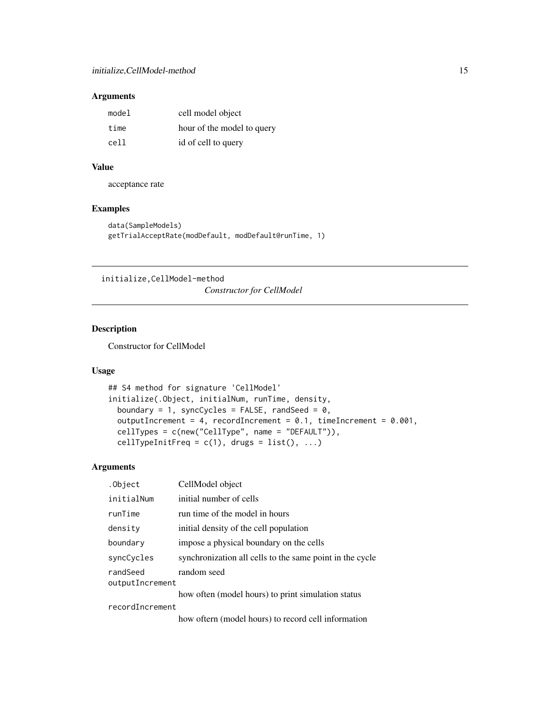### <span id="page-14-0"></span>Arguments

| model | cell model object          |
|-------|----------------------------|
| time  | hour of the model to query |
| cell  | id of cell to query        |

### Value

acceptance rate

### Examples

```
data(SampleModels)
getTrialAcceptRate(modDefault, modDefault@runTime, 1)
```
initialize,CellModel-method

*Constructor for CellModel*

#### Description

Constructor for CellModel

#### Usage

```
## S4 method for signature 'CellModel'
initialize(.Object, initialNum, runTime, density,
 boundary = 1, syncCycles = FALSE, randSeed = 0,
 outputIncrement = 4, recordIncrement = 0.1, timeIncrement = 0.001,
 cellTypes = c(new("CellType", name = "DEFAULT")),
 cellTypeInitFreq = c(1), drugs = list(), ...)
```
### Arguments

| .Object                     | CellModel object                                         |
|-----------------------------|----------------------------------------------------------|
| initialNum                  | initial number of cells                                  |
| runTime                     | run time of the model in hours                           |
| density                     | initial density of the cell population                   |
| boundary                    | impose a physical boundary on the cells                  |
| syncCycles                  | synchronization all cells to the same point in the cycle |
| randSeed<br>outputIncrement | random seed                                              |
|                             | how often (model hours) to print simulation status       |
| recordIncrement             |                                                          |
|                             |                                                          |

how oftern (model hours) to record cell information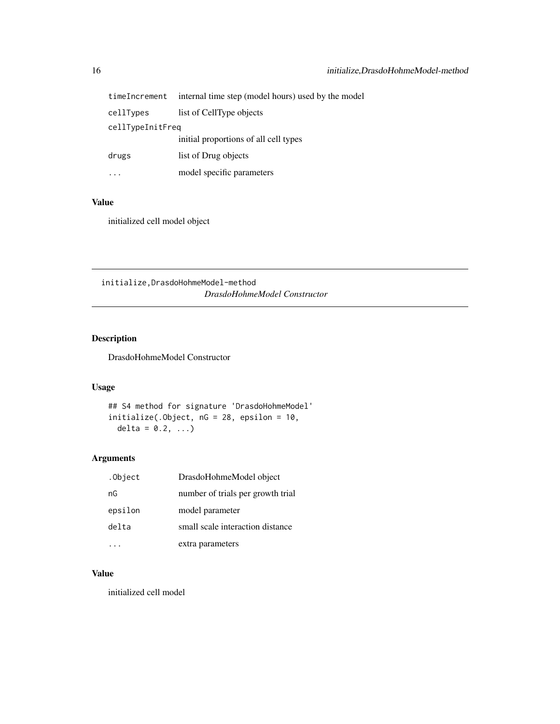<span id="page-15-0"></span>

| timeIncrement    | internal time step (model hours) used by the model |
|------------------|----------------------------------------------------|
| cellTypes        | list of CellType objects                           |
| cellTypeInitFreq |                                                    |
|                  | initial proportions of all cell types              |
| drugs            | list of Drug objects                               |
|                  | model specific parameters                          |

### Value

initialized cell model object

initialize,DrasdoHohmeModel-method *DrasdoHohmeModel Constructor*

### Description

DrasdoHohmeModel Constructor

### Usage

## S4 method for signature 'DrasdoHohmeModel' initialize(.Object, nG = 28, epsilon = 10, delta =  $0.2, ...$ 

### Arguments

| .Object | DrasdoHohmeModel object           |
|---------|-----------------------------------|
| nG      | number of trials per growth trial |
| epsilon | model parameter                   |
| delta   | small scale interaction distance  |
|         | extra parameters                  |

### Value

initialized cell model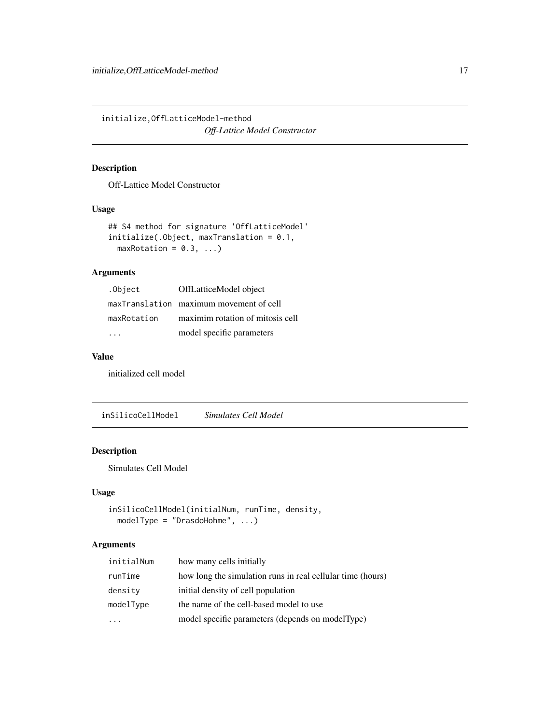<span id="page-16-0"></span>initialize,OffLatticeModel-method *Off-Lattice Model Constructor*

## Description

Off-Lattice Model Constructor

#### Usage

```
## S4 method for signature 'OffLatticeModel'
initialize(.Object, maxTranslation = 0.1,
 maxRotation = 0.3, ...
```
### Arguments

| .Object     | OffLatticeModel object                  |
|-------------|-----------------------------------------|
|             | maxTranslation maximum movement of cell |
| maxRotation | maximim rotation of mitosis cell        |
|             | model specific parameters               |

### Value

initialized cell model

inSilicoCellModel *Simulates Cell Model*

### Description

Simulates Cell Model

#### Usage

```
inSilicoCellModel(initialNum, runTime, density,
 modelType = "DrasdoHohme", ...)
```
### Arguments

| initialNum | how many cells initially                                   |
|------------|------------------------------------------------------------|
| runTime    | how long the simulation runs in real cellular time (hours) |
| density    | initial density of cell population                         |
| modelType  | the name of the cell-based model to use                    |
|            | model specific parameters (depends on modelType)           |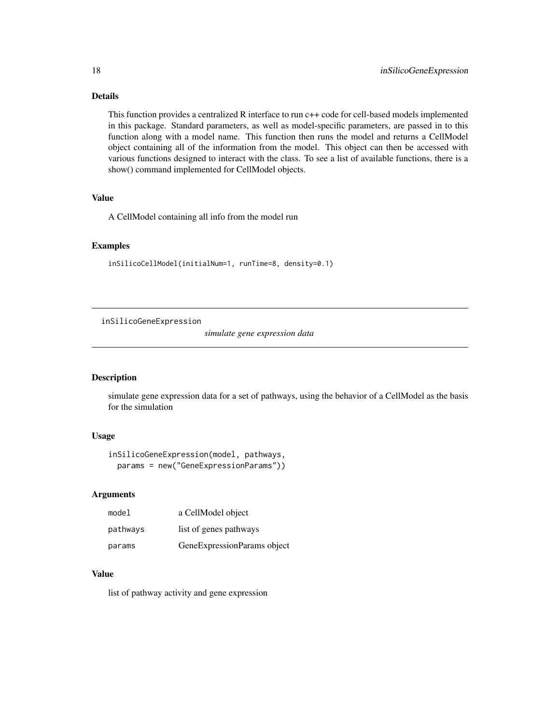### <span id="page-17-0"></span>Details

This function provides a centralized R interface to run c++ code for cell-based models implemented in this package. Standard parameters, as well as model-specific parameters, are passed in to this function along with a model name. This function then runs the model and returns a CellModel object containing all of the information from the model. This object can then be accessed with various functions designed to interact with the class. To see a list of available functions, there is a show() command implemented for CellModel objects.

### Value

A CellModel containing all info from the model run

#### Examples

```
inSilicoCellModel(initialNum=1, runTime=8, density=0.1)
```
inSilicoGeneExpression

*simulate gene expression data*

#### Description

simulate gene expression data for a set of pathways, using the behavior of a CellModel as the basis for the simulation

#### Usage

```
inSilicoGeneExpression(model, pathways,
 params = new("GeneExpressionParams"))
```
#### Arguments

| model    | a CellModel object          |
|----------|-----------------------------|
| pathways | list of genes pathways      |
| params   | GeneExpressionParams object |

#### Value

list of pathway activity and gene expression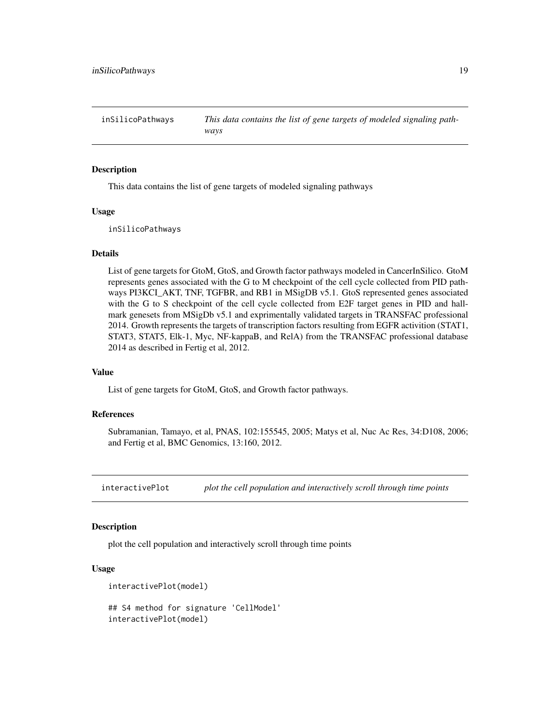<span id="page-18-0"></span>inSilicoPathways *This data contains the list of gene targets of modeled signaling pathways*

#### Description

This data contains the list of gene targets of modeled signaling pathways

#### Usage

inSilicoPathways

#### Details

List of gene targets for GtoM, GtoS, and Growth factor pathways modeled in CancerInSilico. GtoM represents genes associated with the G to M checkpoint of the cell cycle collected from PID pathways PI3KCI\_AKT, TNF, TGFBR, and RB1 in MSigDB v5.1. GtoS represented genes associated with the G to S checkpoint of the cell cycle collected from E2F target genes in PID and hallmark genesets from MSigDb v5.1 and exprimentally validated targets in TRANSFAC professional 2014. Growth represents the targets of transcription factors resulting from EGFR activition (STAT1, STAT3, STAT5, Elk-1, Myc, NF-kappaB, and RelA) from the TRANSFAC professional database 2014 as described in Fertig et al, 2012.

#### Value

List of gene targets for GtoM, GtoS, and Growth factor pathways.

#### References

Subramanian, Tamayo, et al, PNAS, 102:155545, 2005; Matys et al, Nuc Ac Res, 34:D108, 2006; and Fertig et al, BMC Genomics, 13:160, 2012.

interactivePlot *plot the cell population and interactively scroll through time points*

### **Description**

plot the cell population and interactively scroll through time points

#### Usage

```
interactivePlot(model)
```

```
## S4 method for signature 'CellModel'
interactivePlot(model)
```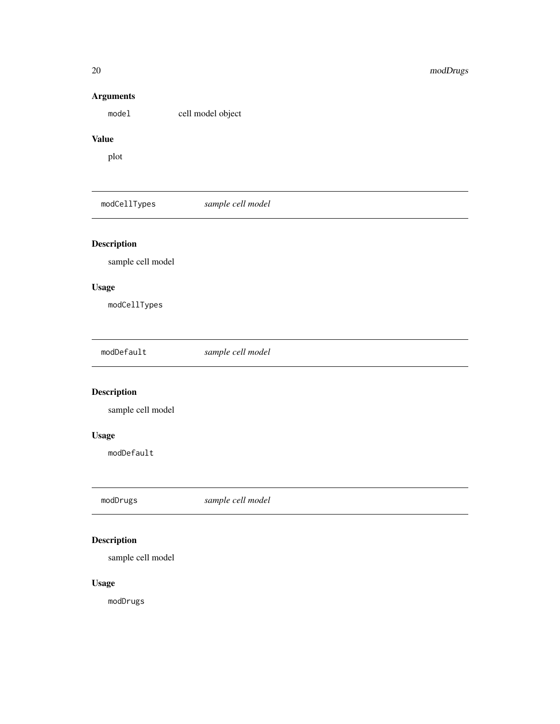### Arguments

model cell model object

### Value

plot

modCellTypes *sample cell model*

### Description

sample cell model

### Usage

modCellTypes

| modDefault |
|------------|
|------------|

### Description

sample cell model

### Usage

modDefault

modDrugs *sample cell model*

## Description

sample cell model

### Usage

modDrugs

<span id="page-19-0"></span>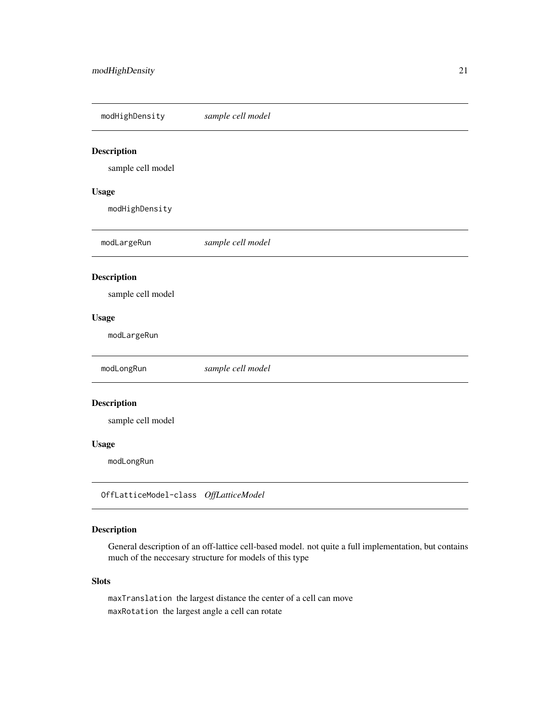<span id="page-20-0"></span>modHighDensity *sample cell model*

### Description

sample cell model

### Usage

modHighDensity

modLargeRun *sample cell model* Description sample cell model Usage modLargeRun modLongRun *sample cell model* Description sample cell model Usage modLongRun OffLatticeModel-class *OffLatticeModel*

### Description

General description of an off-lattice cell-based model. not quite a full implementation, but contains much of the neccesary structure for models of this type

#### Slots

maxTranslation the largest distance the center of a cell can move maxRotation the largest angle a cell can rotate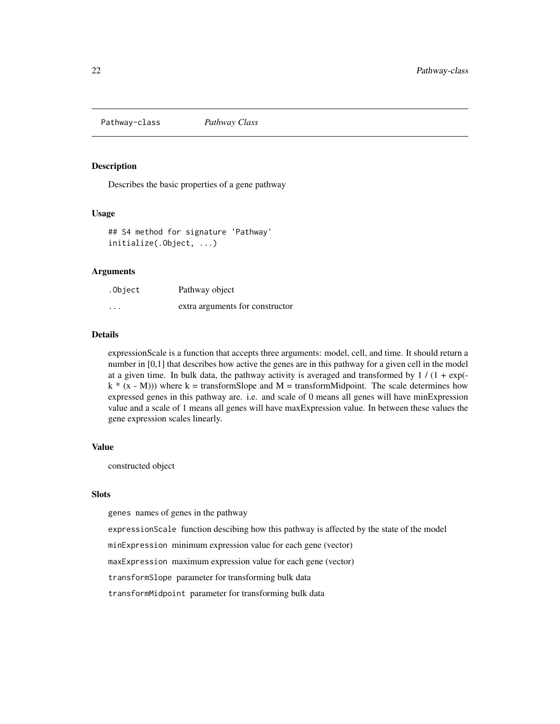<span id="page-21-0"></span>Pathway-class *Pathway Class*

#### Description

Describes the basic properties of a gene pathway

#### Usage

```
## S4 method for signature 'Pathway'
initialize(.Object, ...)
```
### Arguments

| .Object  | Pathway object                  |
|----------|---------------------------------|
| $\cdots$ | extra arguments for constructor |

#### **Details**

expressionScale is a function that accepts three arguments: model, cell, and time. It should return a number in [0,1] that describes how active the genes are in this pathway for a given cell in the model at a given time. In bulk data, the pathway activity is averaged and transformed by  $1/(1 + \exp(-\epsilon))$  $k * (x - M))$ ) where k = transformSlope and M = transformMidpoint. The scale determines how expressed genes in this pathway are. i.e. and scale of 0 means all genes will have minExpression value and a scale of 1 means all genes will have maxExpression value. In between these values the gene expression scales linearly.

### Value

constructed object

#### Slots

genes names of genes in the pathway

expressionScale function descibing how this pathway is affected by the state of the model

minExpression minimum expression value for each gene (vector)

maxExpression maximum expression value for each gene (vector)

transformSlope parameter for transforming bulk data

transformMidpoint parameter for transforming bulk data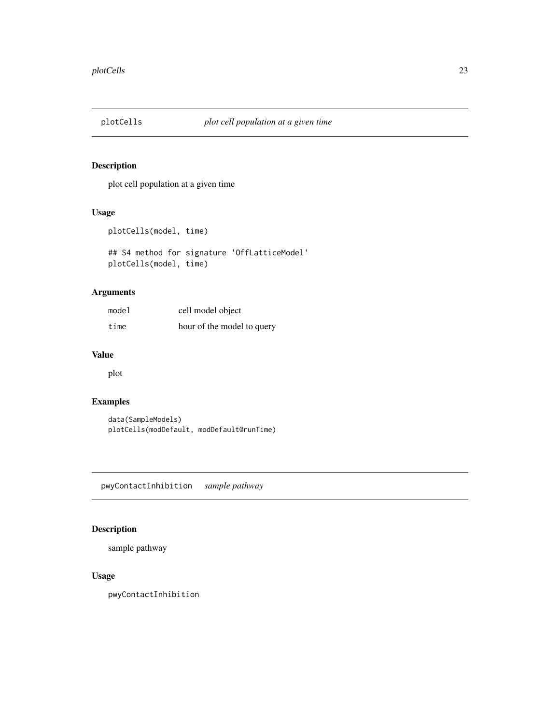<span id="page-22-0"></span>

plot cell population at a given time

#### Usage

plotCells(model, time)

## S4 method for signature 'OffLatticeModel' plotCells(model, time)

#### Arguments

| model | cell model object          |
|-------|----------------------------|
| time  | hour of the model to query |

#### Value

plot

### Examples

data(SampleModels) plotCells(modDefault, modDefault@runTime)

pwyContactInhibition *sample pathway*

### Description

sample pathway

### Usage

pwyContactInhibition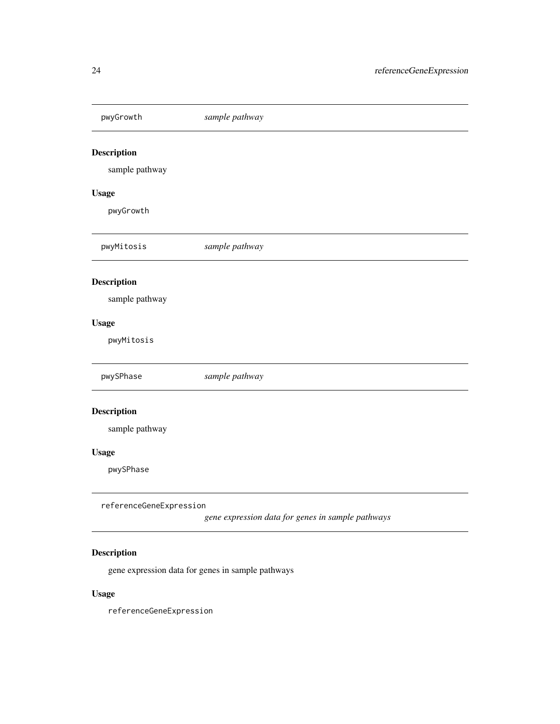<span id="page-23-0"></span>pwyGrowth *sample pathway* Description sample pathway Usage pwyGrowth pwyMitosis *sample pathway* Description sample pathway Usage pwyMitosis pwySPhase *sample pathway* Description sample pathway Usage pwySPhase referenceGeneExpression

*gene expression data for genes in sample pathways*

### Description

gene expression data for genes in sample pathways

### Usage

referenceGeneExpression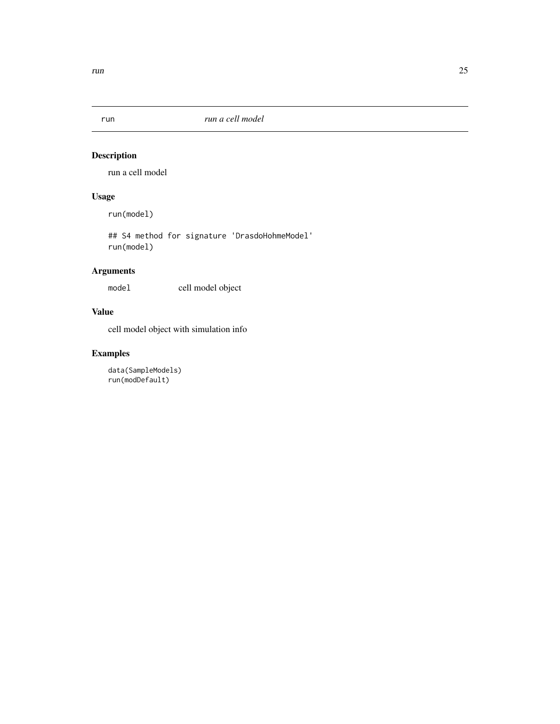<span id="page-24-0"></span>

run a cell model

### Usage

run(model)

## S4 method for signature 'DrasdoHohmeModel' run(model)

### Arguments

model cell model object

### Value

cell model object with simulation info

### Examples

data(SampleModels) run(modDefault)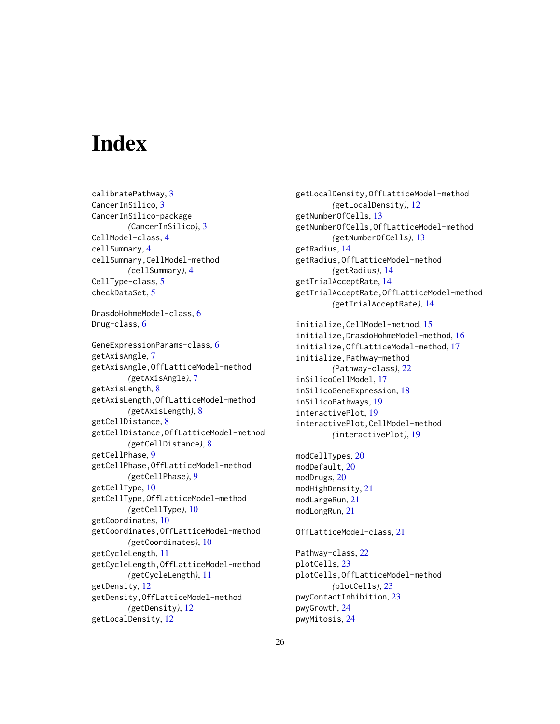# <span id="page-25-0"></span>**Index**

calibratePathway, [3](#page-2-0) CancerInSilico, [3](#page-2-0) CancerInSilico-package *(*CancerInSilico*)*, [3](#page-2-0) CellModel-class, [4](#page-3-0) cellSummary, [4](#page-3-0) cellSummary,CellModel-method *(*cellSummary*)*, [4](#page-3-0) CellType-class, [5](#page-4-0) checkDataSet, [5](#page-4-0) DrasdoHohmeModel-class, [6](#page-5-0) Drug-class, [6](#page-5-0) GeneExpressionParams-class, [6](#page-5-0) getAxisAngle, [7](#page-6-0) getAxisAngle,OffLatticeModel-method *(*getAxisAngle*)*, [7](#page-6-0) getAxisLength, [8](#page-7-0) getAxisLength,OffLatticeModel-method *(*getAxisLength*)*, [8](#page-7-0) getCellDistance, [8](#page-7-0) getCellDistance,OffLatticeModel-method *(*getCellDistance*)*, [8](#page-7-0) getCellPhase, [9](#page-8-0) getCellPhase,OffLatticeModel-method *(*getCellPhase*)*, [9](#page-8-0) getCellType, [10](#page-9-0) getCellType,OffLatticeModel-method *(*getCellType*)*, [10](#page-9-0) getCoordinates, [10](#page-9-0) getCoordinates,OffLatticeModel-method *(*getCoordinates*)*, [10](#page-9-0) getCycleLength, [11](#page-10-0) getCycleLength,OffLatticeModel-method *(*getCycleLength*)*, [11](#page-10-0) getDensity, [12](#page-11-0) getDensity,OffLatticeModel-method *(*getDensity*)*, [12](#page-11-0) getLocalDensity, [12](#page-11-0)

getLocalDensity,OffLatticeModel-method *(*getLocalDensity*)*, [12](#page-11-0) getNumberOfCells, [13](#page-12-0) getNumberOfCells,OffLatticeModel-method *(*getNumberOfCells*)*, [13](#page-12-0) getRadius, [14](#page-13-0) getRadius,OffLatticeModel-method *(*getRadius*)*, [14](#page-13-0) getTrialAcceptRate, [14](#page-13-0) getTrialAcceptRate,OffLatticeModel-method *(*getTrialAcceptRate*)*, [14](#page-13-0) initialize,CellModel-method, [15](#page-14-0) initialize,DrasdoHohmeModel-method, [16](#page-15-0) initialize,OffLatticeModel-method, [17](#page-16-0) initialize,Pathway-method *(*Pathway-class*)*, [22](#page-21-0) inSilicoCellModel, [17](#page-16-0) inSilicoGeneExpression, [18](#page-17-0) inSilicoPathways, [19](#page-18-0) interactivePlot, [19](#page-18-0)

interactivePlot,CellModel-method *(*interactivePlot*)*, [19](#page-18-0)

modCellTypes, [20](#page-19-0) modDefault, [20](#page-19-0) modDrugs, [20](#page-19-0) modHighDensity, [21](#page-20-0) modLargeRun, [21](#page-20-0) modLongRun, [21](#page-20-0)

#### OffLatticeModel-class, [21](#page-20-0)

Pathway-class, [22](#page-21-0) plotCells, [23](#page-22-0) plotCells,OffLatticeModel-method *(*plotCells*)*, [23](#page-22-0) pwyContactInhibition, [23](#page-22-0) pwyGrowth, [24](#page-23-0) pwyMitosis, [24](#page-23-0)